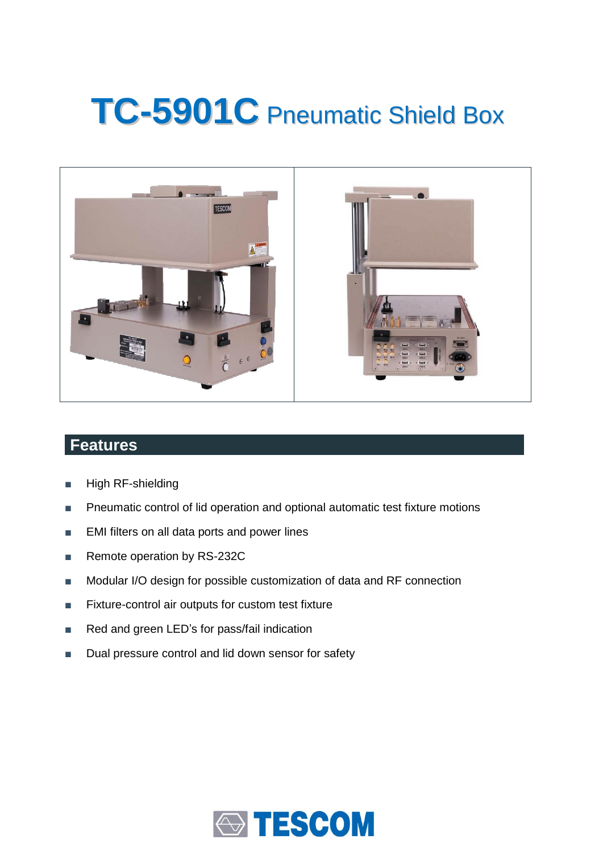# **TC-5901C** Pneumatic Shield Box



### **Features**

- High RF-shielding
- Pneumatic control of lid operation and optional automatic test fixture motions
- EMI filters on all data ports and power lines
- Remote operation by RS-232C
- Modular I/O design for possible customization of data and RF connection
- Fixture-control air outputs for custom test fixture
- Red and green LED's for pass/fail indication
- Dual pressure control and lid down sensor for safety

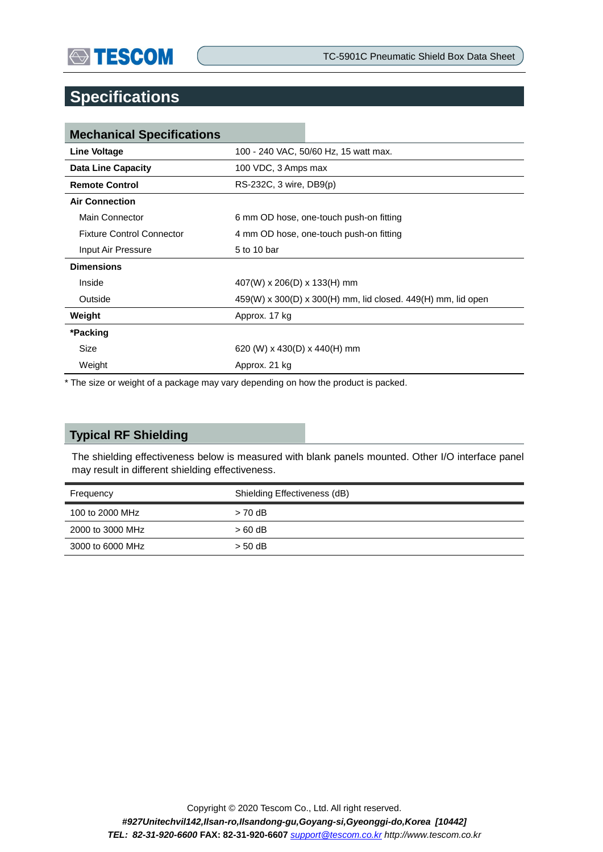## **Specifications**

| <b>Mechanical Specifications</b> |                                                                  |  |
|----------------------------------|------------------------------------------------------------------|--|
| <b>Line Voltage</b>              | 100 - 240 VAC, 50/60 Hz, 15 watt max.                            |  |
| <b>Data Line Capacity</b>        | 100 VDC, 3 Amps max                                              |  |
| <b>Remote Control</b>            | RS-232C, 3 wire, DB9(p)                                          |  |
| <b>Air Connection</b>            |                                                                  |  |
| Main Connector                   | 6 mm OD hose, one-touch push-on fitting                          |  |
| <b>Fixture Control Connector</b> | 4 mm OD hose, one-touch push-on fitting                          |  |
| Input Air Pressure               | 5 to 10 bar                                                      |  |
| <b>Dimensions</b>                |                                                                  |  |
| Inside                           | $407(W)$ x 206(D) x 133(H) mm                                    |  |
| Outside                          | $459(W)$ x 300(D) x 300(H) mm, lid closed. $449(H)$ mm, lid open |  |
| Weight                           | Approx. 17 kg                                                    |  |
| *Packing                         |                                                                  |  |
| Size                             | 620 (W) x 430(D) x 440(H) mm                                     |  |
| Weight                           | Approx. 21 kg                                                    |  |

\* The size or weight of a package may vary depending on how the product is packed.

#### **Typical RF Shielding**

The shielding effectiveness below is measured with blank panels mounted. Other I/O interface panel may result in different shielding effectiveness.

| Frequency        | Shielding Effectiveness (dB) |
|------------------|------------------------------|
| 100 to 2000 MHz  | $> 70$ dB                    |
| 2000 to 3000 MHz | $>60$ dB                     |
| 3000 to 6000 MHz | $> 50$ dB                    |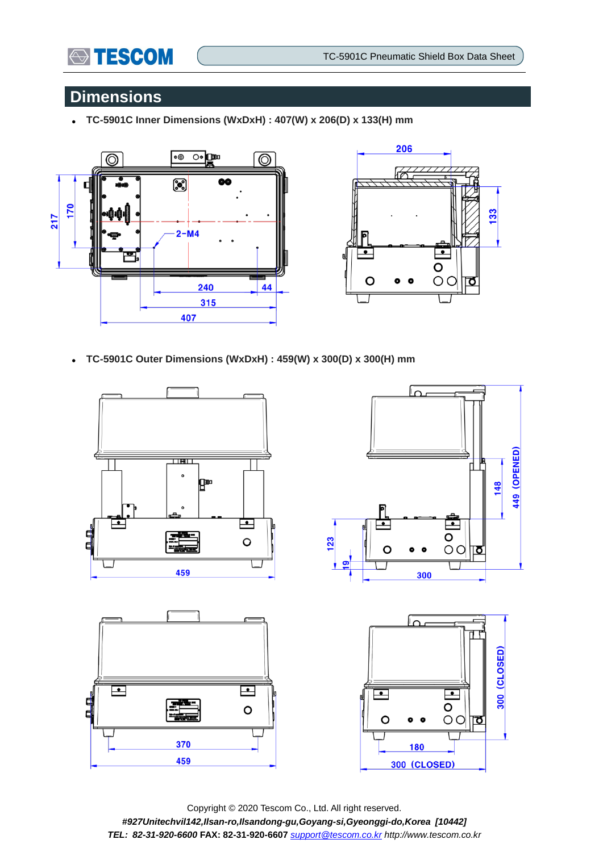

## **Dimensions**

**TC-5901C Inner Dimensions (WxDxH) : 407(W) x 206(D) x 133(H) mm**





**TC-5901C Outer Dimensions (WxDxH) : 459(W) x 300(D) x 300(H) mm**



Copyright © 2020 Tescom Co., Ltd. All right reserved. *#927Unitechvil142,Ilsan-ro,Ilsandong-gu,Goyang-si,Gyeonggi-do,Korea [10442] TEL: 82-31-920-6600* **FAX: 82-31-920-6607** *[support@tescom.co.kr](mailto:support@tescom.co.kr) http://www.tescom.co.kr*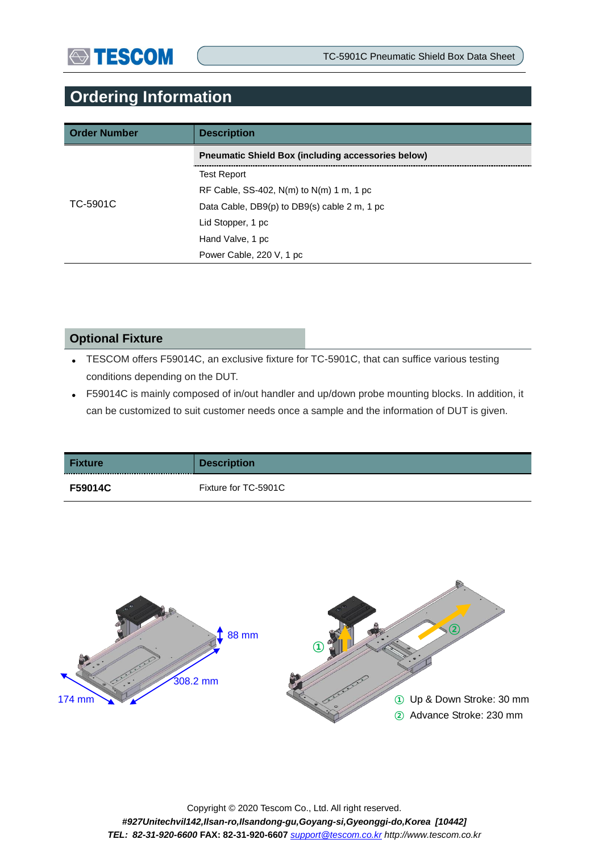## **Ordering Information**

| <b>Order Number</b> | <b>Description</b>                                        |
|---------------------|-----------------------------------------------------------|
|                     | <b>Preumatic Shield Box (including accessories below)</b> |
|                     | <b>Test Report</b>                                        |
|                     | RF Cable, SS-402, $N(m)$ to $N(m)$ 1 m, 1 pc              |
| TC-5901C            | Data Cable, DB9(p) to DB9(s) cable 2 m, 1 pc              |
|                     | Lid Stopper, 1 pc                                         |
|                     | Hand Valve, 1 pc                                          |
|                     | Power Cable, 220 V, 1 pc                                  |

#### **Optional Fixture**

- TESCOM offers F59014C, an exclusive fixture for TC-5901C, that can suffice various testing conditions depending on the DUT.
- F59014C is mainly composed of in/out handler and up/down probe mounting blocks. In addition, it can be customized to suit customer needs once a sample and the information of DUT is given.

| <b>Fixture</b> | <b>Description</b>   |
|----------------|----------------------|
| F59014C        | Fixture for TC-5901C |

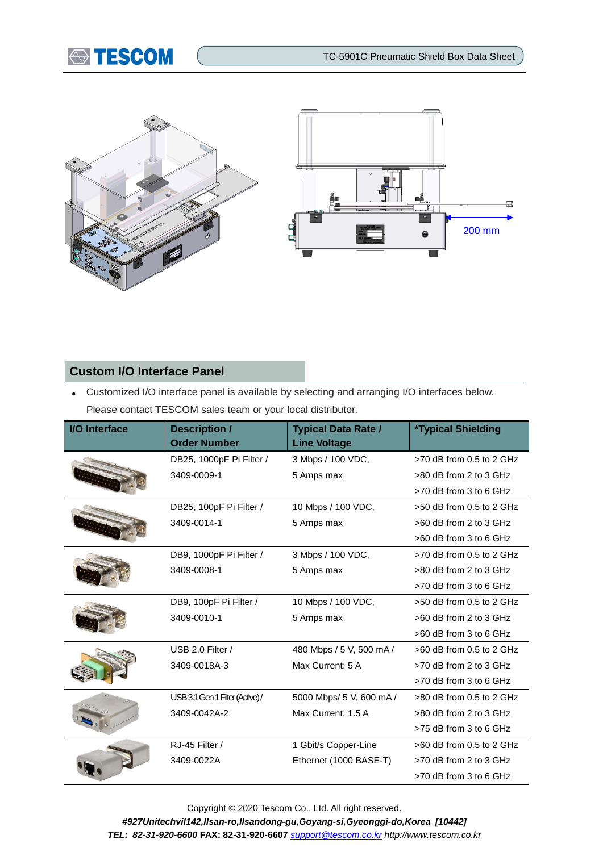



#### **Custom I/O Interface Panel**

 Customized I/O interface panel is available by selecting and arranging I/O interfaces below. Please contact TESCOM sales team or your local distributor.

| I/O Interface | <b>Description /</b><br><b>Order Number</b> | <b>Typical Data Rate /</b><br><b>Line Voltage</b> | <i><b>*Typical Shielding</b></i> |
|---------------|---------------------------------------------|---------------------------------------------------|----------------------------------|
|               | DB25, 1000pF Pi Filter /                    | 3 Mbps / 100 VDC,                                 | $>70$ dB from 0.5 to 2 GHz       |
|               | 3409-0009-1                                 | 5 Amps max                                        | >80 dB from 2 to 3 GHz           |
|               |                                             |                                                   | >70 dB from 3 to 6 GHz           |
|               | DB25, 100pF Pi Filter /                     | 10 Mbps / 100 VDC,                                | $>50$ dB from 0.5 to 2 GHz       |
|               | 3409-0014-1                                 | 5 Amps max                                        | $>60$ dB from 2 to 3 GHz         |
|               |                                             |                                                   | >60 dB from 3 to 6 GHz           |
|               | DB9, 1000pF Pi Filter /                     | 3 Mbps / 100 VDC,                                 | $>70$ dB from 0.5 to 2 GHz       |
|               | 3409-0008-1                                 | 5 Amps max                                        | >80 dB from 2 to 3 GHz           |
|               |                                             |                                                   | $>70$ dB from 3 to 6 GHz         |
|               | DB9, 100pF Pi Filter /                      | 10 Mbps / 100 VDC,                                | $>50$ dB from 0.5 to 2 GHz       |
|               | 3409-0010-1                                 | 5 Amps max                                        | >60 dB from 2 to 3 GHz           |
|               |                                             |                                                   | >60 dB from 3 to 6 GHz           |
|               | USB 2.0 Filter /                            | 480 Mbps / 5 V, 500 mA/                           | $>60$ dB from 0.5 to 2 GHz       |
|               | 3409-0018A-3                                | Max Current: 5 A                                  | >70 dB from 2 to 3 GHz           |
|               |                                             |                                                   | $>70$ dB from 3 to 6 GHz         |
|               | USB 3.1 Gen 1 Filter (Active) /             | 5000 Mbps/ 5 V, 600 mA /                          | $>80$ dB from 0.5 to 2 GHz       |
|               | 3409-0042A-2                                | Max Current: 1.5 A                                | >80 dB from 2 to 3 GHz           |
|               |                                             |                                                   | $>75$ dB from 3 to 6 GHz         |
|               | RJ-45 Filter /                              | 1 Gbit/s Copper-Line                              | $>60$ dB from 0.5 to 2 GHz       |
|               | 3409-0022A                                  | Ethernet (1000 BASE-T)                            | $>70$ dB from 2 to 3 GHz         |
|               |                                             |                                                   | $>70$ dB from 3 to 6 GHz         |

Copyright © 2020 Tescom Co., Ltd. All right reserved. *#927Unitechvil142,Ilsan-ro,Ilsandong-gu,Goyang-si,Gyeonggi-do,Korea [10442] TEL: 82-31-920-6600* **FAX: 82-31-920-6607** *[support@tescom.co.kr](mailto:support@tescom.co.kr) http://www.tescom.co.kr*